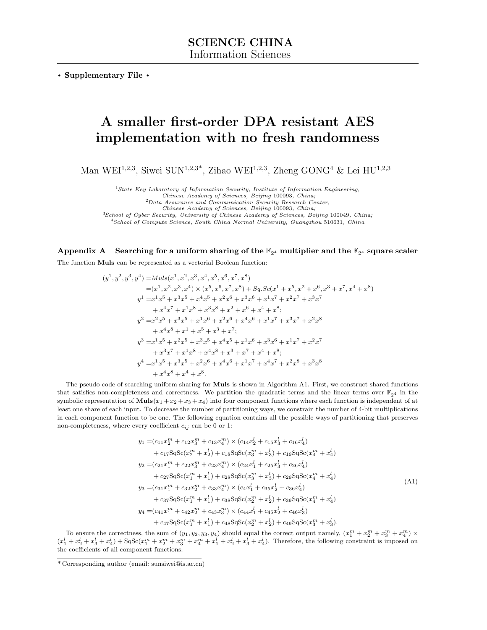<span id="page-0-1"></span>. Supplementary File .

# A smaller first-order DPA resistant AES implementation with no fresh randomness

Man WEI<sup>1,2,3</sup>, Siwei SUN<sup>1,2,3\*</sup>, Zihao WEI<sup>1,2,3</sup>, Zheng GONG<sup>4</sup> & Lei HU<sup>1,2,3</sup>

<sup>1</sup>State Key Laboratory of Information Security, Institute of Information Engineering,<br>Chinese Academy of Sciences, Beijing 100093, China;

<sup>2</sup>Data Assurance and Communication Security Research Center,

Chinese Academy of Sciences, Beijing 100093, China;

<sup>3</sup>School of Cyber Security, University of Chinese Academy of Sciences, Beijing 100049, China;

<sup>4</sup>School of Compute Science, South China Normal University, Guangzhou 510631, China

# Appendix A Searching for a uniform sharing of the  $\mathbb{F}_{2^4}$  multiplier and the  $\mathbb{F}_{2^4}$  square scaler

The function Muls can be represented as a vectorial Boolean function:

$$
(y^{1}, y^{2}, y^{3}, y^{4}) = Muls(x^{1}, x^{2}, x^{3}, x^{4}, x^{5}, x^{6}, x^{7}, x^{8})
$$
  
\n
$$
= (x^{1}, x^{2}, x^{3}, x^{4}) \times (x^{5}, x^{6}, x^{7}, x^{8}) + Sq.Sc(x^{1} + x^{5}, x^{2} + x^{6}, x^{3} + x^{7}, x^{4} + x^{8})
$$
  
\n
$$
y^{1} = x^{1}x^{5} + x^{3}x^{5} + x^{4}x^{5} + x^{2}x^{6} + x^{3}x^{6} + x^{1}x^{7} + x^{2}x^{7} + x^{3}x^{7}
$$
  
\n
$$
+ x^{4}x^{7} + x^{1}x^{8} + x^{3}x^{8} + x^{2} + x^{6} + x^{4} + x^{8};
$$
  
\n
$$
y^{2} = x^{2}x^{5} + x^{3}x^{5} + x^{1}x^{6} + x^{2}x^{6} + x^{4}x^{6} + x^{1}x^{7} + x^{3}x^{7} + x^{2}x^{8}
$$
  
\n
$$
+ x^{4}x^{8} + x^{1} + x^{5} + x^{3} + x^{7};
$$
  
\n
$$
y^{3} = x^{1}x^{5} + x^{2}x^{5} + x^{3}x^{5} + x^{4}x^{5} + x^{1}x^{6} + x^{3}x^{6} + x^{1}x^{7} + x^{2}x^{7}
$$
  
\n
$$
+ x^{3}x^{7} + x^{1}x^{8} + x^{4}x^{8} + x^{3} + x^{7} + x^{4} + x^{8};
$$
  
\n
$$
y^{4} = x^{1}x^{5} + x^{3}x^{5} + x^{2}x^{6} + x^{4}x^{6} + x^{1}x^{7} + x^{4}x^{7} + x^{2}x^{8} + x^{3}x^{8}
$$
  
\n
$$
+ x^{4}x^{8} + x^{4} + x^{8}.
$$

The pseudo code of searching uniform sharing for Muls is shown in Algorithm [A1.](#page-1-0) First, we construct shared functions that satisfies non-completeness and correctness. We partition the quadratic terms and the linear terms over  $\mathbb{F}_{24}$  in the symbolic representation of **Muls** $(x_1 + x_2 + x_3 + x_4)$  into four component functions where each function is independent of at least one share of each input. To decrease the number of partitioning ways, we constrain the number of 4-bit multiplications in each component function to be one. The following equation contains all the possible ways of partitioning that preserves non-completeness, where every coefficient  $c_{ij}$  can be 0 or 1:

<span id="page-0-0"></span>
$$
y_1 = (c_{11}x_2^m + c_{12}x_3^m + c_{13}x_4^m) \times (c_{14}x_2^l + c_{15}x_3^l + c_{16}x_4^l)
$$
  
+  $c_{17}SqSc(x_2^m + x_2^l) + c_{18}SqSc(x_3^m + x_3^l) + c_{19}SqSc(x_4^m + x_4^l)$   

$$
y_2 = (c_{21}x_1^m + c_{22}x_3^m + c_{23}x_4^m) \times (c_{24}x_1^l + c_{25}x_3^l + c_{26}x_4^l)
$$
  
+  $c_{27}SqSc(x_1^m + x_1^l) + c_{28}SqSc(x_3^m + x_3^l) + c_{29}SqSc(x_4^m + x_4^l)$   

$$
y_3 = (c_{31}x_1^m + c_{32}x_2^m + c_{33}x_4^m) \times (c_{4}x_1^l + c_{35}x_2^l + c_{36}x_4^l)
$$
  
+  $c_{37}SqSc(x_1^m + x_1^l) + c_{38}SqSc(x_2^m + x_2^l) + c_{39}SqSc(x_4^m + x_4^l)$   

$$
y_4 = (c_{41}x_1^m + c_{42}x_2^m + c_{43}x_3^m) \times (c_{44}x_1^l + c_{45}x_2^l + c_{46}x_3^l)
$$
  
+  $c_{47}SqSc(x_1^m + x_1^l) + c_{48}SqSc(x_2^m + x_2^l) + c_{49}SqSc(x_3^m + x_3^l).$  (A1)

To ensure the correctness, the sum of  $(y_1, y_2, y_3, y_4)$  should equal the correct output namely,  $(x_1^m + x_2^m + x_3^m + x_4^m) \times$  $(x_1^l + x_2^l + x_3^l + x_4^l) + \text{SqSc}(x_1^m + x_2^m + x_3^m + x_4^l + x_2^l + x_3^l + x_4^l)$ . Therefore, the following constraint is imposed on the coefficients of all component functions:

<sup>\*</sup> Corresponding author (email: sunsiwei@is.ac.cn)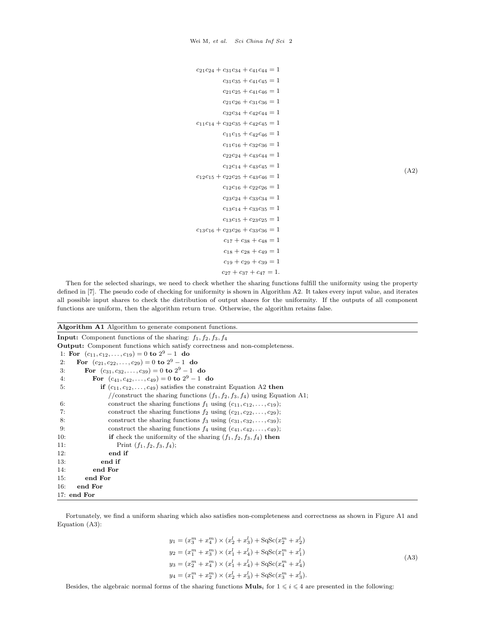```
c_{21}c_{24} + c_{31}c_{34} + c_{41}c_{44} = 1c_{31}c_{35} + c_{41}c_{45} = 1c_{21}c_{25} + c_{41}c_{46} = 1c_{21}c_{26} + c_{31}c_{36} = 1c_{32}c_{34} + c_{42}c_{44} = 1c_{11}c_{14} + c_{32}c_{35} + c_{42}c_{45} = 1c_{11}c_{15} + c_{42}c_{46} = 1c_{11}c_{16} + c_{32}c_{36} = 1c_{22}c_{24} + c_{43}c_{44} = 1c_{12}c_{14} + c_{43}c_{45} = 1c_{12}c_{15} + c_{22}c_{25} + c_{43}c_{46} = 1c_{12}c_{16} + c_{22}c_{26} = 1c_{23}c_{24} + c_{33}c_{34} = 1c_{13}c_{14} + c_{33}c_{35} = 1c_{13}c_{15} + c_{23}c_{25} = 1c_{13}c_{16} + c_{23}c_{26} + c_{33}c_{36} = 1c_{17} + c_{38} + c_{48} = 1c_{18} + c_{28} + c_{49} = 1c_{19} + c_{29} + c_{39} = 1c_{27} + c_{37} + c_{47} = 1.
```
Then for the selected sharings, we need to check whether the sharing functions fulfill the uniformity using the property defined in [\[7\]](#page-7-0). The pseudo code of checking for uniformity is shown in Algorithm [A2.](#page-2-0) It takes every input value, and iterates all possible input shares to check the distribution of output shares for the uniformity. If the outputs of all component functions are uniform, then the algorithm return true. Otherwise, the algorithm retains false.

#### <span id="page-1-0"></span>Algorithm A1 Algorithm to generate component functions.

|               | <b>Input:</b> Component functions of the sharing: $f_1, f_2, f_3, f_4$                 |  |  |  |  |
|---------------|----------------------------------------------------------------------------------------|--|--|--|--|
|               | <b>Output:</b> Component functions which satisfy correctness and non-completeness.     |  |  |  |  |
|               | 1: For $(c_{11}, c_{12}, \ldots, c_{19}) = 0$ to $2^9 - 1$ do                          |  |  |  |  |
| 2:            | For $(c_{21}, c_{22}, \ldots, c_{29}) = 0$ to $2^9 - 1$ do                             |  |  |  |  |
| 3:            | For $(c_{31}, c_{32}, \ldots, c_{39}) = 0$ to $2^9 - 1$ do                             |  |  |  |  |
| 4:            | For $(c_{41}, c_{42}, \ldots, c_{49}) = 0$ to $2^9 - 1$ do                             |  |  |  |  |
| 5:            | <b>if</b> $(c_{11}, c_{12}, \ldots, c_{49})$ satisfies the constraint Equation A2 then |  |  |  |  |
|               | //construct the sharing functions $(f_1, f_2, f_3, f_4)$ using Equation A1;            |  |  |  |  |
| 6:            | construct the sharing functions $f_1$ using $(c_{11}, c_{12}, \ldots, c_{19})$ ;       |  |  |  |  |
| 7:            | construct the sharing functions $f_2$ using $(c_{21}, c_{22}, \ldots, c_{29})$ ;       |  |  |  |  |
| 8:            | construct the sharing functions $f_3$ using $(c_{31}, c_{32}, \ldots, c_{39})$ ;       |  |  |  |  |
| 9:            | construct the sharing functions $f_4$ using $(c_{41}, c_{42}, \ldots, c_{49})$ ;       |  |  |  |  |
| 10:           | <b>if</b> check the uniformity of the sharing $(f_1, f_2, f_3, f_4)$ then              |  |  |  |  |
| 11:           | Print $(f_1, f_2, f_3, f_4)$ ;                                                         |  |  |  |  |
| 12:           | end if                                                                                 |  |  |  |  |
| 13.           | end if                                                                                 |  |  |  |  |
| 14:           | end For                                                                                |  |  |  |  |
| 15:           | end For                                                                                |  |  |  |  |
| 16:           | end For                                                                                |  |  |  |  |
| $17:$ end For |                                                                                        |  |  |  |  |

Fortunately, we find a uniform sharing which also satisfies non-completeness and correctness as shown in Figure [A1](#page-2-1) and Equation [\(A3\)](#page-1-2):

<span id="page-1-2"></span>
$$
y_1 = (x_3^m + x_4^m) \times (x_2^l + x_3^l) + SqSc(x_2^m + x_2^l)
$$
  
\n
$$
y_2 = (x_1^m + x_3^m) \times (x_1^l + x_4^l) + SqSc(x_1^m + x_1^l)
$$
  
\n
$$
y_3 = (x_2^m + x_4^m) \times (x_1^l + x_4^l) + SqSc(x_4^m + x_4^l)
$$
  
\n
$$
y_4 = (x_1^m + x_2^m) \times (x_2^l + x_3^l) + SqSc(x_3^m + x_3^l).
$$
\n(A3)

Besides, the algebraic normal forms of the sharing functions  $\mathbf{Muls}_i$  for  $1 \leq i \leq 4$  are presented in the following:

(A2)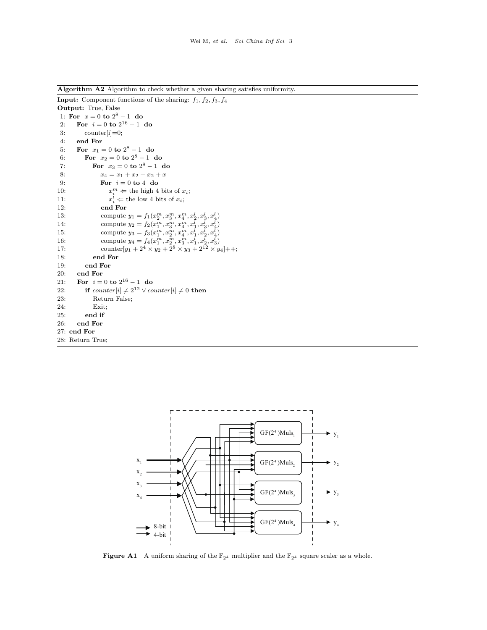<span id="page-2-0"></span>Algorithm A2 Algorithm to check whether a given sharing satisfies uniformity.

```
Input: Component functions of the sharing: f_1, f_2, f_3, f_4Output: True, False
 1: For x = 0 to 2^8 - 1 do
 2: For i = 0 to 2^{16} - 1 do
3: counter[i]=0;
 4: end For
 5: For x_1 = 0 to 2^8 - 1 do
 6: For x_2 = 0 to 2^8 - 1 do
 7: For x_3 = 0 to 2^8 - 1 do
 8: x_4 = x_1 + x_2 + x_2 + x<br>9: For i = 0 to 4 do
              For i = 0 to 4 do
10: x_i^m \Leftarrow the high 4 bits of x_i;
11:l_i \leftarrow the low 4 bits of x_i;
12: end For
13: compute y_1 = f_1(x_2^m, x_3^m, x_4^m, x_2^l, x_3^l, x_4^l)14: compute y_2 = f_2(x_1^m, x_3^m, x_4^m, x_1^l, x_3^l, x_4^l)15: compute y_3 = f_3(x_1^m, x_2^m, x_4^m, x_1^l, x_2^l, x_4^l)16: compute y_4 = f_4(x_1^m, x_2^m, x_3^m, x_1^l, x_2^l, x_3^l)17: counter[y_1 + 2^4 \times y_2 + 2^8 \times y_3 + 2^{12} \times y_4]++;
18: end For
19: end For
20: end For
21: For i = 0 to 2^{16} - 1 do
22: if counter[i] \neq 2^{12} \vee counter[i] \neq 0 then
23: Return False;
24: Exit;
25: end if
26: end For
27: end For
28: Return True;
```
<span id="page-2-1"></span>

**Figure A1** A uniform sharing of the  $\mathbb{F}_{2^4}$  multiplier and the  $\mathbb{F}_{2^4}$  square scaler as a whole.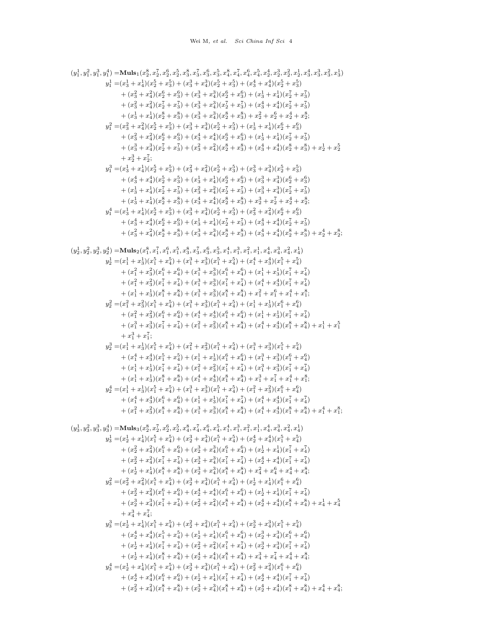```
(y_{1}^{1},y_{1}^{2},y_{1}^{3},y_{1}^{4}) = \mathbf{Muls_{1}}(x_{2}^{8},x_{2}^{7},x_{2}^{6},x_{2}^{5},x_{3}^{8},x_{3}^{7},x_{3}^{6},x_{3}^{5},x_{4}^{8},x_{4}^{7},x_{4}^{6},x_{4}^{5},x_{4}^{4},x_{2}^{4},x_{2}^{3},x_{2}^{2},x_{2}^{1},x_{4}^{4},x_{3}^{3},x_{3}^{2},x_{3}^{1})y_1^1 = (x_3^1 + x_4^1)(x_2^5 + x_3^5) + (x_3^3 + x_4^3)(x_2^5 + x_3^5) + (x_3^4 + x_4^4)(x_2^5 + x_3^5)+(x_3^2+x_4^2)(x_2^6+x_3^6)+(x_3^3+x_4^3)(x_2^6+x_3^6)+(x_3^1+x_4^1)(x_2^7+x_3^7)+(x_3^2+x_4^2)(x_2^7+x_3^7)+(x_3^3+x_4^3)(x_2^7+x_3^7)+(x_3^4+x_4^4)(x_2^7+x_3^7)+(x_3^1+x_4^1)(x_2^8+x_3^8)+(x_3^3+x_4^3)(x_2^8+x_3^8)+x_2^2+x_2^6+x_2^4+x_2^8;y_1^2 = (x_3^2 + x_4^2)(x_2^5 + x_3^5) + (x_3^3 + x_4^3)(x_2^5 + x_3^5) + (x_3^1 + x_4^1)(x_2^6 + x_3^6)+(x_3^2+x_4^2)(x_2^6+x_3^6)+(x_3^4+x_4^4)(x_2^6+x_3^6)+(x_3^1+x_4^1)(x_2^7+x_3^7)+\textstyle{(x_{3}^{3}+x_{4}^{3})(x_{2}^{7}+x_{3}^{7})+(x_{3}^{2}+x_{4}^{2})(x_{2}^{8}+x_{3}^{8})+(x_{3}^{4}+x_{4}^{4})(x_{2}^{8}+x_{3}^{8})+x_{2}^{1}+x_{2}^{5}}+x_2^3+x_2^7;
                 y_1^3 = (x_3^1 + x_4^1)(x_2^5 + x_3^5) + (x_3^2 + x_4^2)(x_2^5 + x_3^5) + (x_3^3 + x_4^3)(x_2^5 + x_3^5)+(x_3^4+x_4^4)(x_2^5+x_3^5)+(x_3^1+x_4^1)(x_2^6+x_3^6)+(x_3^3+x_4^3)(x_2^6+x_3^6)+ (x_3^1 + x_4^1)(x_2^7 + x_3^7) + (x_3^2 + x_4^2)(x_2^7 + x_3^7) + (x_3^3 + x_4^3)(x_2^7 + x_3^7)+(x_3^1+x_4^1)(x_2^8+x_3^8)+(x_3^4+x_4^4)(x_2^8+x_3^8)+x_2^3+x_2^7+x_2^4+x_3^8;y_1^4 = (x_3^1 + x_4^1)(x_2^5 + x_3^5) + (x_3^3 + x_4^3)(x_2^5 + x_3^5) + (x_3^2 + x_4^2)(x_2^6 + x_3^6)+(x_3^4+x_4^4)(x_2^6+x_3^6)+(x_3^1+x_4^1)(x_2^7+x_3^7)+(x_3^4+x_4^4)(x_2^7+x_3^7)+(x_3^2+x_4^2)(x_2^8+x_3^8)+(x_3^3+x_4^3)(x_2^8+x_3^8)+(x_3^4+x_4^4)(x_2^8+x_3^8)+x_2^4+x_2^8;(y_2^1, y_2^2, y_2^3, y_2^4) = \mathbf{Muls}_2(x_1^8, x_1^7, x_1^6, x_1^5, x_3^8, x_3^7, x_3^6, x_3^5, x_4^4, x_1^3, x_1^2, x_1^1, x_4^4, x_4^3, x_4^2, x_4^1)y_{2}^{1} = (x_{1}^{1} + x_{3}^{1})(x_{1}^{5} + x_{4}^{5}) + (x_{1}^{3} + x_{3}^{3})(x_{1}^{5} + x_{4}^{5}) + (x_{1}^{4} + x_{3}^{4})(x_{1}^{5} + x_{4}^{5})+ (x_1^2 + x_3^2)(x_1^6 + x_4^6) + (x_1^3 + x_3^3)(x_1^6 + x_4^6) + (x_1^1 + x_3^1)(x_1^7 + x_4^7)+(x_1^2+x_3^2)(x_1^7+x_4^7)+(x_1^3+x_3^3)(x_1^7+x_4^7)+(x_1^4+x_3^4)(x_1^7+x_4^7)+(x_1^1+x_3^1)(x_1^8+x_4^8)+(x_1^3+x_3^3)(x_1^8+x_4^8)+x_1^2+x_1^6+x_1^4+x_1^8;y_2^2 = (x_1^2 + x_3^2)(x_1^5 + x_4^5) + (x_1^3 + x_3^3)(x_1^5 + x_4^5) + (x_1^1 + x_3^1)(x_1^6 + x_4^6)+ (x_1^2 + x_3^2)(x_1^6 + x_4^6) + (x_1^4 + x_3^4)(x_1^6 + x_4^6) + (x_1^1 + x_3^1)(x_1^7 + x_4^7)+ (x_1^3 + x_3^3)(x_1^7 + x_4^7) + (x_1^2 + x_3^2)(x_1^8 + x_4^8) + (x_1^4 + x_3^4)(x_1^8 + x_4^8) + x_1^1 + x_1^5+x_1^3+x_1^7;
                 y_2^3 = (x_1^1 + x_3^1)(x_1^5 + x_4^5) + (x_1^2 + x_3^2)(x_1^5 + x_4^5) + (x_1^3 + x_3^3)(x_1^5 + x_4^5)+ (x_1^4+x_3^4)(x_1^5+x_4^5)+(x_1^1+x_3^1)(x_1^6+x_4^6)+(x_1^3+x_3^3)(x_1^6+x_4^6)+(x_1^1+x_3^1)(x_1^7+x_4^7)+(x_1^2+x_3^2)(x_1^7+x_4^7)+(x_1^3+x_3^3)(x_1^7+x_4^7)+(x_1^1+x_3^1)(x_1^8+x_4^8)+(x_1^4+x_3^4)(x_1^8+x_4^8)+x_1^3+x_1^7+x_1^4+x_1^8;y_2^4 = (x_1^1 + x_3^1)(x_1^5 + x_4^5) + (x_1^3 + x_3^3)(x_1^5 + x_4^5) + (x_1^2 + x_3^2)(x_1^6 + x_4^6)+(x_1^4+x_3^4)(x_1^6+x_4^6)+(x_1^1+x_3^1)(x_1^7+x_4^7)+(x_1^4+x_3^4)(x_1^7+x_4^7)+(x_1^2+x_3^2)(x_1^8+x_4^8)+(x_1^3+x_3^3)(x_1^8+x_4^8)+(x_1^4+x_3^4)(x_1^8+x_4^8)+x_1^4+x_1^8;(y_3^1, y_3^2, y_3^3, y_3^4) = \mathbf{Muls}_3(x_2^8, x_2^7, x_2^6, x_2^5, x_4^8, x_4^7, x_4^6, x_4^5, x_4^4, x_1^3, x_1^2, x_1^1, x_4^4, x_4^3, x_4^2, x_4^1)y_3^1 = (x_2^1 + x_4^1)(x_1^5 + x_4^5) + (x_2^3 + x_4^3)(x_1^5 + x_4^5) + (x_2^4 + x_4^4)(x_1^5 + x_4^5)+(x_2^2+x_4^2)(x_1^6+x_4^6)+(x_2^3+x_4^3)(x_1^6+x_4^6)+(x_2^1+x_4^1)(x_1^7+x_4^7)+(x_2^2+x_4^2)(x_1^7+x_4^7)+(x_2^3+x_4^3)(x_1^7+x_4^7)+(x_2^4+x_4^4)(x_1^7+x_4^7)+(x_2^1+x_4^1)(x_1^8+x_4^8)+(x_2^3+x_4^3)(x_1^8+x_4^8)+x_4^2+x_4^6+x_4^4+x_4^8;y_3^2 = (x_2^2 + x_4^2)(x_1^5 + x_4^5) + (x_2^3 + x_4^3)(x_1^5 + x_4^5) + (x_2^1 + x_4^1)(x_1^6 + x_4^6)+(x_2^2+x_4^2)(x_1^6+x_4^6)+(x_2^4+x_4^4)(x_1^6+x_4^6)+(x_2^1+x_4^1)(x_1^7+x_4^7)+\ (x_2^3 + x_4^3)(x_1^7 + x_4^7) + (x_2^2 + x_4^2)(x_1^8 + x_4^8) + (x_2^4 + x_4^4)(x_1^8 + x_4^8) + x_4^1 + x_4^5+x_4^3+x_4^7;
                 y_3^3 = (x_2^1 + x_4^1)(x_1^5 + x_4^5) + (x_2^2 + x_4^2)(x_1^5 + x_4^5) + (x_2^3 + x_4^3)(x_1^5 + x_4^5)+(x_2^4+x_4^4)(x_1^5+x_4^5)+(x_2^1+x_4^1)(x_1^6+x_4^6)+(x_2^3+x_4^3)(x_1^6+x_4^6)+(x_2^1+x_4^1)(x_1^7+x_4^7)+(x_2^2+x_4^2)(x_1^7+x_4^7)+(x_2^3+x_4^3)(x_1^7+x_4^7)+(x_2^1+x_4^1)(x_1^8+x_4^8)+(x_2^4+x_4^4)(x_1^8+x_4^8)+x_4^3+x_4^7+x_4^4+x_4^8;y_3^4 = (x_2^1 + x_4^1)(x_1^5 + x_4^5) + (x_2^3 + x_4^3)(x_1^5 + x_4^5) + (x_2^2 + x_4^2)(x_1^6 + x_4^6)+(x_2^4+x_4^4)(x_1^6+x_4^6)+(x_2^1+x_4^1)(x_1^7+x_4^7)+(x_2^4+x_4^4)(x_1^7+x_4^7)+(x_2^2+x_4^2)(x_1^8+x_4^8)+(x_2^3+x_4^3)(x_1^8+x_4^8)+(x_2^4+x_4^4)(x_1^8+x_4^8)+x_4^4+x_4^8;
```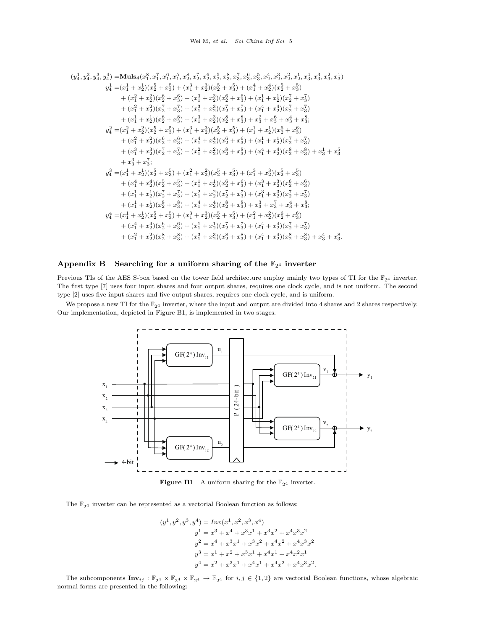$$
(y_4^1, y_4^2, y_4^3, y_4^4) = \textbf{Muls}_{4}(x_1^8, x_1^7, x_1^6, x_1^5, x_2^8, x_2^7, x_2^6, x_2^5, x_3^8, x_3^7, x_3^6, x_3^5, x_2^4, x_2^3, x_2^2, x_2^1, x_3^4, x_3^3, x_3^2, x_3^1) \ny_4^1 = (x_1^1 + x_2^1)(x_2^5 + x_3^5) + (x_1^3 + x_2^3)(x_2^5 + x_3^5) + (x_1^4 + x_2^4)(x_2^5 + x_3^5) \n+ (x_1^2 + x_2^2)(x_2^6 + x_3^6) + (x_1^3 + x_2^3)(x_2^6 + x_3^6) + (x_1^1 + x_2^1)(x_2^7 + x_3^7) \n+ (x_1^1 + x_2^1)(x_2^8 + x_3^8) + (x_1^3 + x_2^3)(x_2^8 + x_3^8) + x_3^2 + x_3^6 + x_3^4 + x_3^8; \ny_4^2 = (x_1^2 + x_2^2)(x_2^5 + x_3^5) + (x_1^3 + x_2^3)(x_2^5 + x_3^5) + (x_1^1 + x_2^1)(x_2^6 + x_3^6) \n+ (x_1^2 + x_2^2)(x_2^6 + x_3^6) + (x_1^4 + x_2^4)(x_2^6 + x_3^6) + (x_1^1 + x_2^1)(x_2^7 + x_3^7) \n+ (x_1^3 + x_2^3)(x_2^7 + x_3^7) + (x_1^2 + x_2^2)(x_2^5 + x_3^5) + (x_1^4 + x_2^4)(x_2^8 + x_3^8) + x_3^1 + x_3^5 \n+ x_3^3 + x_3^7; \ny_4^3 = (x_1^1 + x_2^1)(x_2^5 + x_3^5) + (x_1^2 + x_2^2)(x_2^5 + x_3^5) + (x_1^4 + x_2^4)(x_2
$$

# Appendix B Searching for a uniform sharing of the  $\mathbb{F}_{2^4}$  inverter

Previous TIs of the AES S-box based on the tower field architecture employ mainly two types of TI for the  $\mathbb{F}_{24}$  inverter. The first type [\[7\]](#page-7-0) uses four input shares and four output shares, requires one clock cycle, and is not uniform. The second type [\[2\]](#page-7-1) uses five input shares and five output shares, requires one clock cycle, and is uniform.

<span id="page-4-0"></span>We propose a new TI for the  $\mathbb{F}_{24}$  inverter, where the input and output are divided into 4 shares and 2 shares respectively. Our implementation, depicted in Figure [B1,](#page-4-0) is implemented in two stages.



**Figure B1** A uniform sharing for the  $\mathbb{F}_{2^4}$  inverter.

The  $\mathbb{F}_{2^4}$  inverter can be represented as a vectorial Boolean function as follows:

$$
\begin{aligned} (y^1,y^2,y^3,y^4) &= \operatorname{Inv}(x^1,x^2,x^3,x^4) \\ y^1&=x^3+x^4+x^3x^1+x^3x^2+x^4x^3x^2 \\ y^2&=x^4+x^3x^1+x^3x^2+x^4x^2+x^4x^3x^2 \\ y^3&=x^1+x^2+x^3x^1+x^4x^1+x^4x^2x^1 \\ y^4&=x^2+x^3x^1+x^4x^1+x^4x^2+x^4x^3x^2. \end{aligned}
$$

The subcomponents  $\text{Inv}_{ij} : \mathbb{F}_{2^4} \times \mathbb{F}_{2^4} \times \mathbb{F}_{2^4} \to \mathbb{F}_{2^4}$  for  $i, j \in \{1, 2\}$  are vectorial Boolean functions, whose algebraic normal forms are presented in the following: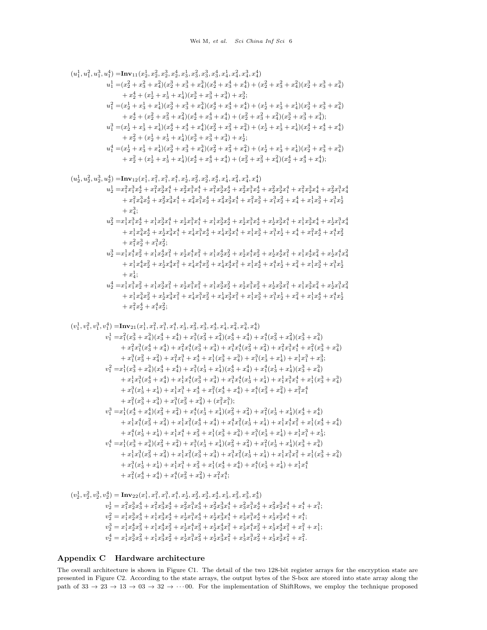$$
(u^1_1, u^2_1, u^3_1, u^4_1) =\text{Inv}_{11}(x^1_2, x^2_2, x^3_2, x^4_2, x^3_3, x^2_3, x^4_3, x^2_4, x^4_4, x^2_4, x^2_4)
$$
  
\n
$$
u^1_1 = (x^2_2 + x^2_3 + x^2_4)(x^3_2 + x^3_3 + x^3_4)(x^4_2 + x^4_3 + x^4_4) + (x^2_2 + x^2_3 + x^2_4)(x^3_2 + x^3_3 + x^3_4)
$$
  
\n
$$
+ x^4_2 + (x^4_2 + x^4_3 + x^4_4)(x^3_2 + x^3_3 + x^3_4)(x^4_2 + x^4_3 + x^4_4) + (x^1_2 + x^1_3 + x^1_4)(x^3_2 + x^3_3 + x^3_4)
$$
  
\n
$$
u^3_1 = (x^1_2 + x^1_3 + x^1_4)(x^3_2 + x^3_3 + x^3_4)(x^4_2 + x^4_3 + x^4_4) + (x^1_2 + x^1_3 + x^1_4)(x^4_2 + x^4_3 + x^4_4))
$$
  
\n
$$
u^3_1 = (x^1_2 + x^1_3 + x^1_4)(x^4_2 + x^4_3 + x^4_4)(x^4_2 + x^4_3 + x^4_4) + (x^1_2 + x^1_3 + x^1_4)(x^4_2 + x^4_3 + x^4_4))
$$
  
\n
$$
u^4_1 = (x^1_2 + x^1_3 + x^1_4)(x^4_2 + x^4_3 + x^4_4)(x^4_2 + x^2_3 + x^2_4) + (x^1_2 + x^1_3 + x^1_4)(x^4_2 + x^4_3 + x^4_4))
$$
  
\n
$$
u^4_2 = (x^1_2 + x^1_3 + x^1_4)(x^4_2 + x^4_3 + x^1_4)(x^4_2 + x^2_3 + x^2_4) + (x^1_2 + x^1_3 + x^1_4)(x^3_2 + x^3_3 + x^
$$

## Appendix C Hardware architecture

The overall architecture is shown in Figure [C1.](#page-6-0) The detail of the two 128-bit register arrays for the encryption state are presented in Figure [C2.](#page-6-1) According to the state arrays, the output bytes of the S-box are stored into state array along the path of  $33 \rightarrow 23 \rightarrow 13 \rightarrow 03 \rightarrow 32 \rightarrow \cdots 00$ . For the implementation of ShiftRows, we employ the technique proposed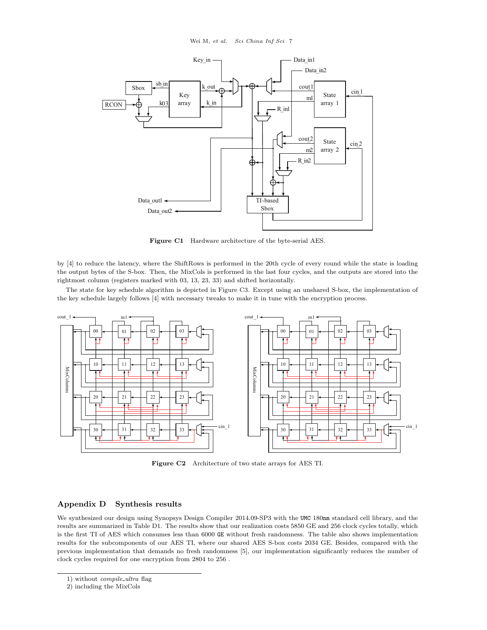<span id="page-6-0"></span>

Figure C1 Hardware architecture of the byte-serial AES.

by [\[4\]](#page-7-2) to reduce the latency, where the ShiftRows is performed in the 20th cycle of every round while the state is loading the output bytes of the S-box. Then, the MixCols is performed in the last four cycles, and the outputs are stored into the rightmost column (registers marked with 03, 13, 23, 33) and shifted horizontally.

The state for key schedule algorithm is depicted in Figure [C3.](#page-7-3) Except using an unshared S-box, the implementation of the key schedule largely follows [\[4\]](#page-7-2) with necessary tweaks to make it in tune with the encryption process.

<span id="page-6-1"></span>

Figure C2 Architecture of two state arrays for AES TI.

#### Appendix D Synthesis results

We synthesized our design using Synopsys Design Compiler 2014.09-SP3 with the UMC 180nm standard cell library, and the results are summarized in Table [D1.](#page-7-4) The results show that our realization costs 5850 GE and 256 clock cycles totally, which is the first TI of AES which consumes less than 6000 GE without fresh randomness. The table also shows implementation results for the subcomponents of our AES TI, where our shared AES S-box costs 2034 GE. Besides, compared with the previous implementation that demands no fresh randomness [\[5\]](#page-8-0), our implementation significantly reduces the number of clock cycles required for one encryption from 2804 to 256 .

<sup>1)</sup> without *compile\_ultra* flag

<sup>2)</sup> including the MixCols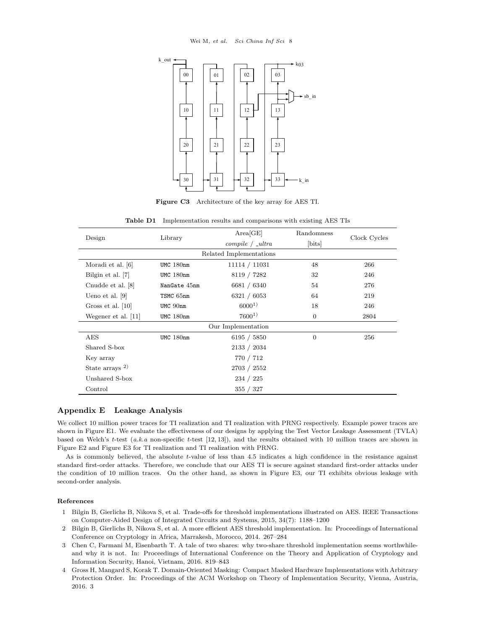<span id="page-7-3"></span>

Figure C3 Architecture of the key array for AES TI.

<span id="page-7-4"></span>

| Design                     | Library        | Area[GE]            | Randomness     | Clock Cycles |  |  |
|----------------------------|----------------|---------------------|----------------|--------------|--|--|
|                            |                | $compile / _lultra$ | [bits]         |              |  |  |
| Related Implementations    |                |                     |                |              |  |  |
| Moradi et al. [6]          | UMC 180nm      | 11114 / 11031       | 48             | 266          |  |  |
| Bilgin et al. [7]          | $UMC$ 180 $nm$ | 8119 / 7282         | 32             | 246          |  |  |
| Cnudde et al. [8]          | NanGate 45nm   | 6681 / 6340         | 54             | 276          |  |  |
| Ueno et al. $[9]$          | TSMC 65nm      | 6321 / 6053         | 64             | 219          |  |  |
| Gross et al. $[10]$        | UMC 90nm       | $6000^{1}$          | 18             | 246          |  |  |
| Wegener et al. [11]        | UMC 180nm      | $7600^{1}$          | $\overline{0}$ | 2804         |  |  |
| Our Implementation         |                |                     |                |              |  |  |
| AES                        | UMC 180nm      | 6195 / 5850         | $\Omega$       | 256          |  |  |
| Shared S-box               |                | 2133 / 2034         |                |              |  |  |
| Key array                  |                | 770 / 712           |                |              |  |  |
| State arrays <sup>2)</sup> |                | 2703 / 2552         |                |              |  |  |
| Unshared S-box             |                | 234 / 225           |                |              |  |  |
| Control                    |                | 355 / 327           |                |              |  |  |

Table D1 Implementation results and comparisons with existing AES TIs

### Appendix E Leakage Analysis

We collect 10 million power traces for TI realization and TI realization with PRNG respectively. Example power traces are shown in Figure [E1.](#page-8-6) We evaluate the effectiveness of our designs by applying the Test Vector Leakage Assessment (TVLA) based on Welch's t-test  $(a,k,a)$  non-specific t-test  $[12, 13]$  $[12, 13]$  $[12, 13]$ , and the results obtained with 10 million traces are shown in Figure [E2](#page-8-9) and Figure [E3](#page-9-0) for TI realization and TI realization with PRNG.

As is commonly believed, the absolute t-value of less than 4.5 indicates a high confidence in the resistance against standard first-order attacks. Therefore, we conclude that our AES TI is secure against standard first-order attacks under the condition of 10 million traces. On the other hand, as shown in Figure [E3,](#page-9-0) our TI exhibits obvious leakage with second-order analysis.

#### References

- <span id="page-7-0"></span>1 Bilgin B, Gierlichs B, Nikova S, et al. Trade-offs for threshold implementations illustrated on AES. IEEE Transactions on Computer-Aided Design of Integrated Circuits and Systems, 2015, 34(7): 1188–1200
- <span id="page-7-1"></span>2 Bilgin B, Gierlichs B, Nikova S, et al. A more efficient AES threshold implementation. In: Proceedings of International Conference on Cryptology in Africa, Marrakesh, Morocco, 2014. 267–284
- 3 Chen C, Farmani M, Eisenbarth T. A tale of two shares: why two-share threshold implementation seems worthwhileand why it is not. In: Proceedings of International Conference on the Theory and Application of Cryptology and Information Security, Hanoi, Vietnam, 2016. 819–843
- <span id="page-7-2"></span>4 Gross H, Mangard S, Korak T. Domain-Oriented Masking: Compact Masked Hardware Implementations with Arbitrary Protection Order. In: Proceedings of the ACM Workshop on Theory of Implementation Security, Vienna, Austria, 2016. 3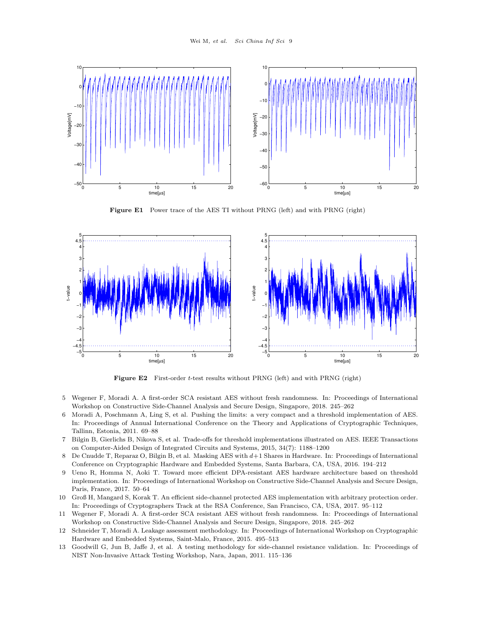<span id="page-8-6"></span>

Figure E1 Power trace of the AES TI without PRNG (left) and with PRNG (right)

<span id="page-8-9"></span>

Figure E2 First-order t-test results without PRNG (left) and with PRNG (right)

- <span id="page-8-0"></span>5 Wegener F, Moradi A. A first-order SCA resistant AES without fresh randomness. In: Proceedings of International Workshop on Constructive Side-Channel Analysis and Secure Design, Singapore, 2018. 245–262
- <span id="page-8-1"></span>6 Moradi A, Poschmann A, Ling S, et al. Pushing the limits: a very compact and a threshold implementation of AES. In: Proceedings of Annual International Conference on the Theory and Applications of Cryptographic Techniques, Tallinn, Estonia, 2011. 69–88
- 7 Bilgin B, Gierlichs B, Nikova S, et al. Trade-offs for threshold implementations illustrated on AES. IEEE Transactions on Computer-Aided Design of Integrated Circuits and Systems, 2015, 34(7): 1188–1200
- <span id="page-8-2"></span>8 De Cnudde T, Reparaz O, Bilgin B, et al. Masking AES with d+1 Shares in Hardware. In: Proceedings of International Conference on Cryptographic Hardware and Embedded Systems, Santa Barbara, CA, USA, 2016. 194–212
- <span id="page-8-3"></span>9 Ueno R, Homma N, Aoki T. Toward more efficient DPA-resistant AES hardware architecture based on threshold implementation. In: Proceedings of International Workshop on Constructive Side-Channel Analysis and Secure Design, Paris, France, 2017. 50–64
- <span id="page-8-4"></span>10 Groß H, Mangard S, Korak T. An efficient side-channel protected AES implementation with arbitrary protection order. In: Proceedings of Cryptographers Track at the RSA Conference, San Francisco, CA, USA, 2017. 95–112
- <span id="page-8-5"></span>11 Wegener F, Moradi A. A first-order SCA resistant AES without fresh randomness. In: Proceedings of International Workshop on Constructive Side-Channel Analysis and Secure Design, Singapore, 2018. 245–262
- <span id="page-8-7"></span>12 Schneider T, Moradi A. Leakage assessment methodology. In: Proceedings of International Workshop on Cryptographic Hardware and Embedded Systems, Saint-Malo, France, 2015. 495–513
- <span id="page-8-8"></span>13 Goodwill G, Jun B, Jaffe J, et al. A testing methodology for side-channel resistance validation. In: Proceedings of NIST Non-Invasive Attack Testing Workshop, Nara, Japan, 2011. 115–136